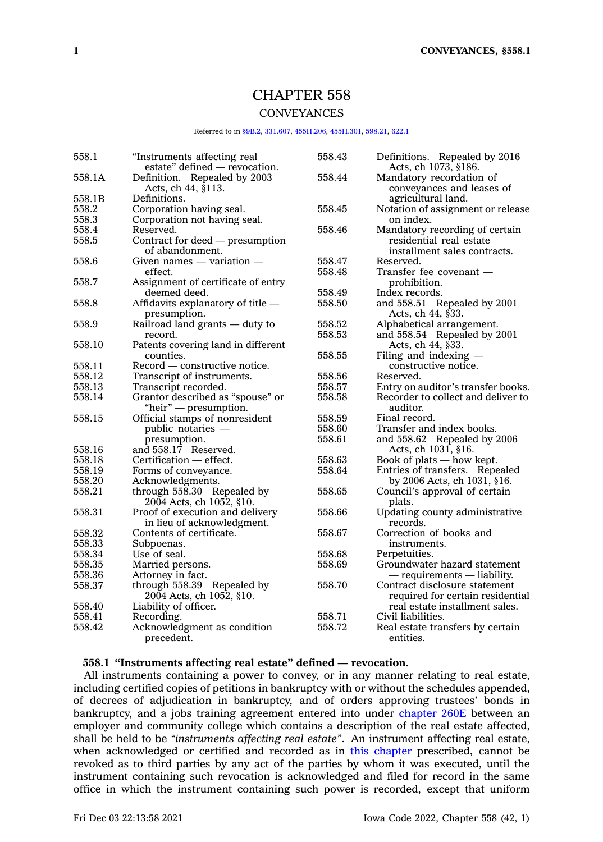# CHAPTER 558

## **CONVEYANCES**

## Referred to in [§9B.2](https://www.legis.iowa.gov/docs/code/9B.2.pdf), [331.607,](https://www.legis.iowa.gov/docs/code/331.607.pdf) [455H.206](https://www.legis.iowa.gov/docs/code/455H.206.pdf), [455H.301](https://www.legis.iowa.gov/docs/code/455H.301.pdf), [598.21](https://www.legis.iowa.gov/docs/code/598.21.pdf), [622.1](https://www.legis.iowa.gov/docs/code/622.1.pdf)

| 558.1  | "Instruments affecting real<br>estate" defined - revocation. | 558.43 | Definitions. Repealed by 2016<br>Acts, ch 1073, §186. |
|--------|--------------------------------------------------------------|--------|-------------------------------------------------------|
| 558.1A | Definition. Repealed by 2003<br>Acts, ch 44, §113.           | 558.44 | Mandatory recordation of<br>conveyances and leases of |
| 558.1B | Definitions.                                                 |        | agricultural land.                                    |
| 558.2  | Corporation having seal.                                     | 558.45 | Notation of assignment or release                     |
| 558.3  | Corporation not having seal.                                 |        | on index.                                             |
| 558.4  | Reserved.                                                    | 558.46 | Mandatory recording of certain                        |
| 558.5  | Contract for deed — presumption<br>of abandonment.           |        | residential real estate                               |
|        |                                                              |        | installment sales contracts.                          |
| 558.6  | Given names $-$ variation $-$                                | 558.47 | Reserved.                                             |
|        | effect.                                                      | 558.48 | Transfer fee covenant —                               |
| 558.7  | Assignment of certificate of entry                           |        | prohibition.                                          |
|        | deemed deed.                                                 | 558.49 | Index records.                                        |
| 558.8  | Affidavits explanatory of title -<br>presumption.            | 558.50 | and $558.51$ Repealed by 2001<br>Acts, ch 44, §33.    |
| 558.9  | Railroad land grants - duty to                               | 558.52 | Alphabetical arrangement.                             |
|        | record.                                                      | 558.53 | and 558.54 Repealed by 2001                           |
| 558.10 | Patents covering land in different                           |        | Acts, ch 44, §33.                                     |
|        | counties.                                                    | 558.55 | Filing and indexing $-$                               |
| 558.11 | Record — constructive notice.                                |        | constructive notice.                                  |
| 558.12 | Transcript of instruments.                                   | 558.56 | Reserved.                                             |
| 558.13 | Transcript recorded.                                         | 558.57 | Entry on auditor's transfer books.                    |
| 558.14 | Grantor described as "spouse" or                             | 558.58 | Recorder to collect and deliver to                    |
|        |                                                              |        | auditor.                                              |
|        | "heir" — presumption.                                        |        |                                                       |
| 558.15 | Official stamps of nonresident                               | 558.59 | Final record.                                         |
|        | public notaries —                                            | 558.60 | Transfer and index books.                             |
|        | presumption.                                                 | 558.61 | and 558.62 Repealed by 2006                           |
| 558.16 | and 558.17 Reserved.                                         |        | Acts, ch 1031, §16.                                   |
| 558.18 | Certification — effect.                                      | 558.63 | Book of plats - how kept.                             |
| 558.19 | Forms of conveyance.                                         | 558.64 | Entries of transfers. Repealed                        |
| 558.20 | Acknowledgments.                                             |        | by 2006 Acts, ch 1031, §16.                           |
| 558.21 | through 558.30 Repealed by                                   | 558.65 | Council's approval of certain                         |
|        | 2004 Acts, ch 1052, §10.                                     |        | plats.                                                |
| 558.31 | Proof of execution and delivery                              | 558.66 | Updating county administrative                        |
|        | in lieu of acknowledgment.                                   |        | records.                                              |
| 558.32 | Contents of certificate.                                     | 558.67 | Correction of books and                               |
| 558.33 | Subpoenas.                                                   |        | instruments.                                          |
| 558.34 | Use of seal.                                                 | 558.68 | Perpetuities.                                         |
| 558.35 | Married persons.                                             | 558.69 | Groundwater hazard statement                          |
| 558.36 | Attorney in fact.                                            |        | $-$ requirements $-$ liability.                       |
| 558.37 | through 558.39 Repealed by                                   | 558.70 | Contract disclosure statement                         |
|        | 2004 Acts, ch 1052, §10.                                     |        | required for certain residential                      |
| 558.40 | Liability of officer.                                        |        | real estate installment sales.                        |
| 558.41 | Recording.                                                   | 558.71 | Civil liabilities.                                    |
| 558.42 |                                                              | 558.72 |                                                       |
|        | Acknowledgment as condition<br>precedent.                    |        | Real estate transfers by certain<br>entities.         |

## **558.1 "Instruments affecting real estate" defined — revocation.**

All instruments containing <sup>a</sup> power to convey, or in any manner relating to real estate, including certified copies of petitions in bankruptcy with or without the schedules appended, of decrees of adjudication in bankruptcy, and of orders approving trustees' bonds in bankruptcy, and <sup>a</sup> jobs training agreement entered into under [chapter](https://www.legis.iowa.gov/docs/code//260E.pdf) 260E between an employer and community college which contains <sup>a</sup> description of the real estate affected, shall be held to be *"instruments affecting real estate"*. An instrument affecting real estate, when acknowledged or certified and recorded as in this [chapter](https://www.legis.iowa.gov/docs/code//558.pdf) prescribed, cannot be revoked as to third parties by any act of the parties by whom it was executed, until the instrument containing such revocation is acknowledged and filed for record in the same office in which the instrument containing such power is recorded, except that uniform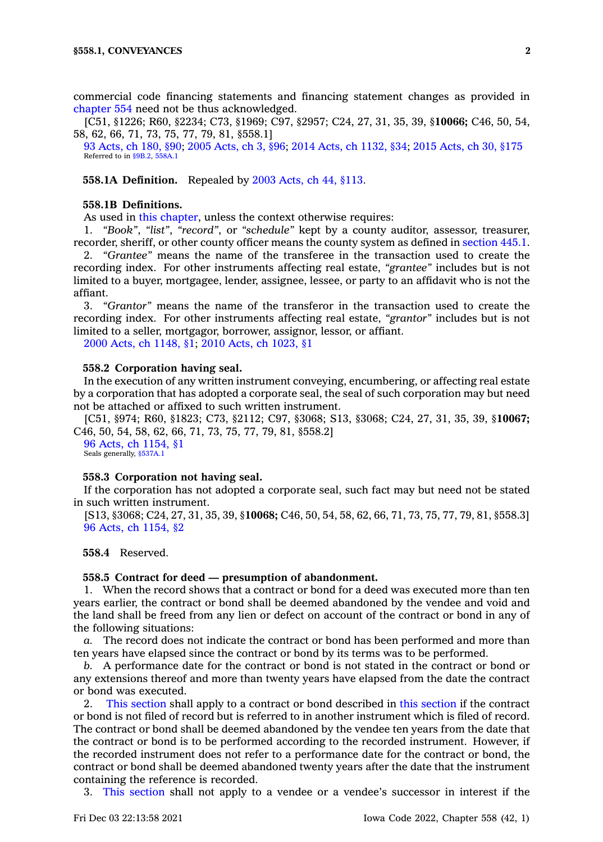commercial code financing statements and financing statement changes as provided in [chapter](https://www.legis.iowa.gov/docs/code//554.pdf) 554 need not be thus acknowledged.

[C51, §1226; R60, §2234; C73, §1969; C97, §2957; C24, 27, 31, 35, 39, §**10066;** C46, 50, 54, 58, 62, 66, 71, 73, 75, 77, 79, 81, §558.1]

93 [Acts,](https://www.legis.iowa.gov/docs/acts/1993/CH0180.pdf) ch 180, §90; 2005 [Acts,](https://www.legis.iowa.gov/docs/acts/2005/CH0003.pdf) ch 3, §96; 2014 Acts, ch [1132,](https://www.legis.iowa.gov/docs/acts/2014/CH1132.pdf) §34; 2015 [Acts,](https://www.legis.iowa.gov/docs/acts/2015/CH0030.pdf) ch 30, §175 Referred to in [§9B.2](https://www.legis.iowa.gov/docs/code/9B.2.pdf), [558A.1](https://www.legis.iowa.gov/docs/code/558A.1.pdf)

**558.1A Definition.** Repealed by 2003 [Acts,](https://www.legis.iowa.gov/docs/acts/2003/CH0044.pdf) ch 44, §113.

#### **558.1B Definitions.**

As used in this [chapter](https://www.legis.iowa.gov/docs/code//558.pdf), unless the context otherwise requires:

1. *"Book"*, *"list"*, *"record"*, or *"schedule"* kept by <sup>a</sup> county auditor, assessor, treasurer, recorder, sheriff, or other county officer means the county system as defined in [section](https://www.legis.iowa.gov/docs/code/445.1.pdf) 445.1.

2. *"Grantee"* means the name of the transferee in the transaction used to create the recording index. For other instruments affecting real estate, *"grantee"* includes but is not limited to <sup>a</sup> buyer, mortgagee, lender, assignee, lessee, or party to an affidavit who is not the affiant.

3. *"Grantor"* means the name of the transferor in the transaction used to create the recording index. For other instruments affecting real estate, *"grantor"* includes but is not limited to <sup>a</sup> seller, mortgagor, borrower, assignor, lessor, or affiant.

2000 Acts, ch [1148,](https://www.legis.iowa.gov/docs/acts/2000/CH1148.pdf) §1; 2010 Acts, ch [1023,](https://www.legis.iowa.gov/docs/acts/2010/CH1023.pdf) §1

## **558.2 Corporation having seal.**

In the execution of any written instrument conveying, encumbering, or affecting real estate by <sup>a</sup> corporation that has adopted <sup>a</sup> corporate seal, the seal of such corporation may but need not be attached or affixed to such written instrument.

[C51, §974; R60, §1823; C73, §2112; C97, §3068; S13, §3068; C24, 27, 31, 35, 39, §**10067;** C46, 50, 54, 58, 62, 66, 71, 73, 75, 77, 79, 81, §558.2]

96 Acts, ch [1154,](https://www.legis.iowa.gov/docs/acts/1996/CH1154.pdf) §1 Seals generally, [§537A.1](https://www.legis.iowa.gov/docs/code/537A.1.pdf)

## **558.3 Corporation not having seal.**

If the corporation has not adopted <sup>a</sup> corporate seal, such fact may but need not be stated in such written instrument.

[S13, §3068; C24, 27, 31, 35, 39, §**10068;** C46, 50, 54, 58, 62, 66, 71, 73, 75, 77, 79, 81, §558.3] 96 Acts, ch [1154,](https://www.legis.iowa.gov/docs/acts/1996/CH1154.pdf) §2

**558.4** Reserved.

#### **558.5 Contract for deed — presumption of abandonment.**

1. When the record shows that <sup>a</sup> contract or bond for <sup>a</sup> deed was executed more than ten years earlier, the contract or bond shall be deemed abandoned by the vendee and void and the land shall be freed from any lien or defect on account of the contract or bond in any of the following situations:

*a.* The record does not indicate the contract or bond has been performed and more than ten years have elapsed since the contract or bond by its terms was to be performed.

*b.* A performance date for the contract or bond is not stated in the contract or bond or any extensions thereof and more than twenty years have elapsed from the date the contract or bond was executed.

2. This [section](https://www.legis.iowa.gov/docs/code/558.5.pdf) shall apply to <sup>a</sup> contract or bond described in this [section](https://www.legis.iowa.gov/docs/code/558.5.pdf) if the contract or bond is not filed of record but is referred to in another instrument which is filed of record. The contract or bond shall be deemed abandoned by the vendee ten years from the date that the contract or bond is to be performed according to the recorded instrument. However, if the recorded instrument does not refer to <sup>a</sup> performance date for the contract or bond, the contract or bond shall be deemed abandoned twenty years after the date that the instrument containing the reference is recorded.

3. This [section](https://www.legis.iowa.gov/docs/code/558.5.pdf) shall not apply to <sup>a</sup> vendee or <sup>a</sup> vendee's successor in interest if the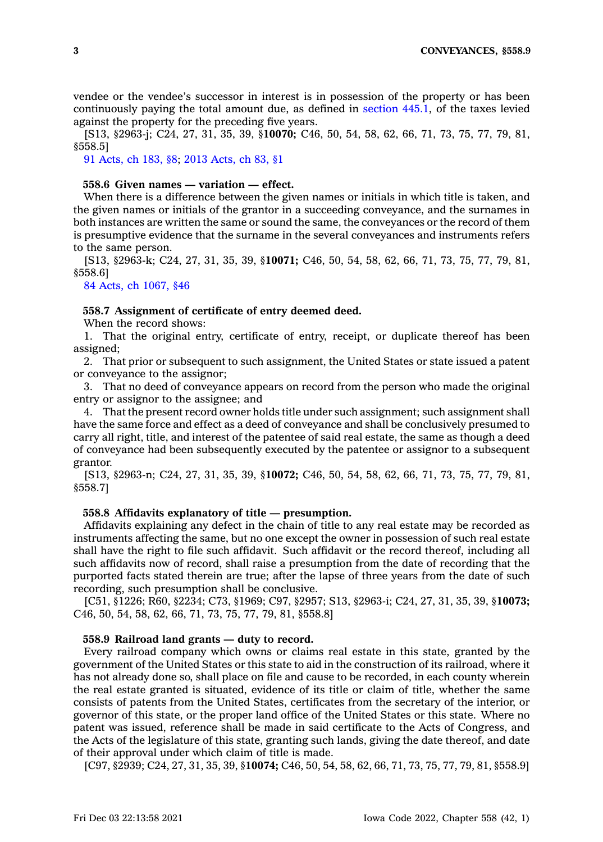vendee or the vendee's successor in interest is in possession of the property or has been continuously paying the total amount due, as defined in [section](https://www.legis.iowa.gov/docs/code/445.1.pdf) 445.1, of the taxes levied against the property for the preceding five years.

[S13, §2963-j; C24, 27, 31, 35, 39, §**10070;** C46, 50, 54, 58, 62, 66, 71, 73, 75, 77, 79, 81, §558.5]

91 [Acts,](https://www.legis.iowa.gov/docs/acts/1991/CH0183.pdf) ch 183, §8; 2013 [Acts,](https://www.legis.iowa.gov/docs/acts/2013/CH0083.pdf) ch 83, §1

### **558.6 Given names — variation — effect.**

When there is <sup>a</sup> difference between the given names or initials in which title is taken, and the given names or initials of the grantor in <sup>a</sup> succeeding conveyance, and the surnames in both instances are written the same or sound the same, the conveyances or the record of them is presumptive evidence that the surname in the several conveyances and instruments refers to the same person.

[S13, §2963-k; C24, 27, 31, 35, 39, §**10071;** C46, 50, 54, 58, 62, 66, 71, 73, 75, 77, 79, 81, §558.6]

84 Acts, ch [1067,](https://www.legis.iowa.gov/docs/acts/1984/CH1067.pdf) §46

#### **558.7 Assignment of certificate of entry deemed deed.**

When the record shows:

1. That the original entry, certificate of entry, receipt, or duplicate thereof has been assigned;

2. That prior or subsequent to such assignment, the United States or state issued <sup>a</sup> patent or conveyance to the assignor;

3. That no deed of conveyance appears on record from the person who made the original entry or assignor to the assignee; and

4. That the present record owner holds title under such assignment; such assignment shall have the same force and effect as <sup>a</sup> deed of conveyance and shall be conclusively presumed to carry all right, title, and interest of the patentee of said real estate, the same as though <sup>a</sup> deed of conveyance had been subsequently executed by the patentee or assignor to <sup>a</sup> subsequent grantor.

[S13, §2963-n; C24, 27, 31, 35, 39, §**10072;** C46, 50, 54, 58, 62, 66, 71, 73, 75, 77, 79, 81, §558.7]

## **558.8 Affidavits explanatory of title — presumption.**

Affidavits explaining any defect in the chain of title to any real estate may be recorded as instruments affecting the same, but no one except the owner in possession of such real estate shall have the right to file such affidavit. Such affidavit or the record thereof, including all such affidavits now of record, shall raise <sup>a</sup> presumption from the date of recording that the purported facts stated therein are true; after the lapse of three years from the date of such recording, such presumption shall be conclusive.

[C51, §1226; R60, §2234; C73, §1969; C97, §2957; S13, §2963-i; C24, 27, 31, 35, 39, §**10073;** C46, 50, 54, 58, 62, 66, 71, 73, 75, 77, 79, 81, §558.8]

#### **558.9 Railroad land grants — duty to record.**

Every railroad company which owns or claims real estate in this state, granted by the government of the United States or this state to aid in the construction of its railroad, where it has not already done so, shall place on file and cause to be recorded, in each county wherein the real estate granted is situated, evidence of its title or claim of title, whether the same consists of patents from the United States, certificates from the secretary of the interior, or governor of this state, or the proper land office of the United States or this state. Where no patent was issued, reference shall be made in said certificate to the Acts of Congress, and the Acts of the legislature of this state, granting such lands, giving the date thereof, and date of their approval under which claim of title is made.

[C97, §2939; C24, 27, 31, 35, 39, §**10074;** C46, 50, 54, 58, 62, 66, 71, 73, 75, 77, 79, 81, §558.9]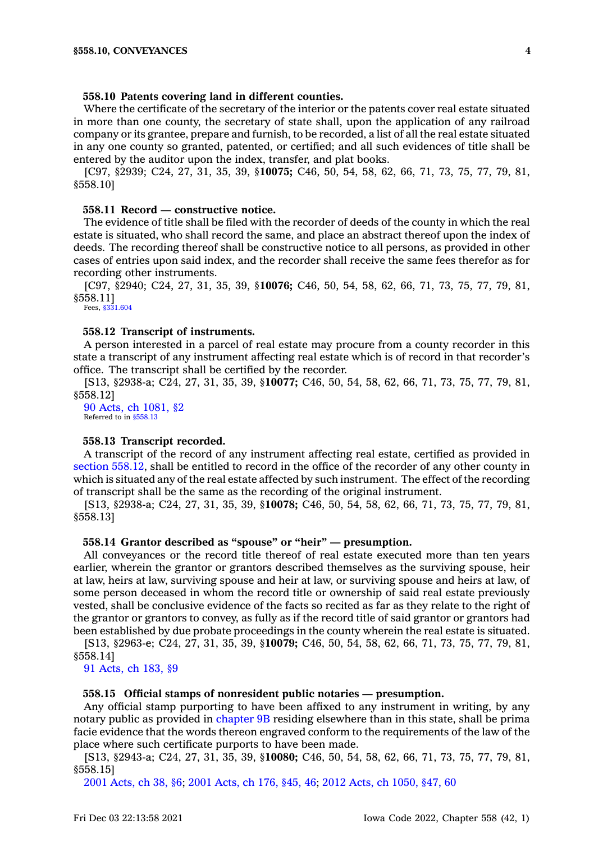## **558.10 Patents covering land in different counties.**

Where the certificate of the secretary of the interior or the patents cover real estate situated in more than one county, the secretary of state shall, upon the application of any railroad company or its grantee, prepare and furnish, to be recorded, <sup>a</sup> list of all the real estate situated in any one county so granted, patented, or certified; and all such evidences of title shall be entered by the auditor upon the index, transfer, and plat books.

[C97, §2939; C24, 27, 31, 35, 39, §**10075;** C46, 50, 54, 58, 62, 66, 71, 73, 75, 77, 79, 81, §558.10]

#### **558.11 Record — constructive notice.**

The evidence of title shall be filed with the recorder of deeds of the county in which the real estate is situated, who shall record the same, and place an abstract thereof upon the index of deeds. The recording thereof shall be constructive notice to all persons, as provided in other cases of entries upon said index, and the recorder shall receive the same fees therefor as for recording other instruments.

[C97, §2940; C24, 27, 31, 35, 39, §**10076;** C46, 50, 54, 58, 62, 66, 71, 73, 75, 77, 79, 81, §558.11]

Fees, [§331.604](https://www.legis.iowa.gov/docs/code/331.604.pdf)

## **558.12 Transcript of instruments.**

A person interested in <sup>a</sup> parcel of real estate may procure from <sup>a</sup> county recorder in this state <sup>a</sup> transcript of any instrument affecting real estate which is of record in that recorder's office. The transcript shall be certified by the recorder.

[S13, §2938-a; C24, 27, 31, 35, 39, §**10077;** C46, 50, 54, 58, 62, 66, 71, 73, 75, 77, 79, 81, §558.12]

90 Acts, ch [1081,](https://www.legis.iowa.gov/docs/acts/1990/CH1081.pdf) §2 Referred to in [§558.13](https://www.legis.iowa.gov/docs/code/558.13.pdf)

## **558.13 Transcript recorded.**

A transcript of the record of any instrument affecting real estate, certified as provided in section [558.12](https://www.legis.iowa.gov/docs/code/558.12.pdf), shall be entitled to record in the office of the recorder of any other county in which is situated any of the real estate affected by such instrument. The effect of the recording of transcript shall be the same as the recording of the original instrument.

[S13, §2938-a; C24, 27, 31, 35, 39, §**10078;** C46, 50, 54, 58, 62, 66, 71, 73, 75, 77, 79, 81, §558.13]

## **558.14 Grantor described as "spouse" or "heir" — presumption.**

All conveyances or the record title thereof of real estate executed more than ten years earlier, wherein the grantor or grantors described themselves as the surviving spouse, heir at law, heirs at law, surviving spouse and heir at law, or surviving spouse and heirs at law, of some person deceased in whom the record title or ownership of said real estate previously vested, shall be conclusive evidence of the facts so recited as far as they relate to the right of the grantor or grantors to convey, as fully as if the record title of said grantor or grantors had been established by due probate proceedings in the county wherein the real estate is situated.

[S13, §2963-e; C24, 27, 31, 35, 39, §**10079;** C46, 50, 54, 58, 62, 66, 71, 73, 75, 77, 79, 81, §558.14]

91 [Acts,](https://www.legis.iowa.gov/docs/acts/1991/CH0183.pdf) ch 183, §9

#### **558.15 Official stamps of nonresident public notaries — presumption.**

Any official stamp purporting to have been affixed to any instrument in writing, by any notary public as provided in [chapter](https://www.legis.iowa.gov/docs/code//9B.pdf) 9B residing elsewhere than in this state, shall be prima facie evidence that the words thereon engraved conform to the requirements of the law of the place where such certificate purports to have been made.

[S13, §2943-a; C24, 27, 31, 35, 39, §**10080;** C46, 50, 54, 58, 62, 66, 71, 73, 75, 77, 79, 81, §558.15]

2001 [Acts,](https://www.legis.iowa.gov/docs/acts/2001/CH0038.pdf) ch 38, §6; 2001 [Acts,](https://www.legis.iowa.gov/docs/acts/2001/CH0176.pdf) ch 176, §45, 46; 2012 Acts, ch [1050,](https://www.legis.iowa.gov/docs/acts/2012/CH1050.pdf) §47, 60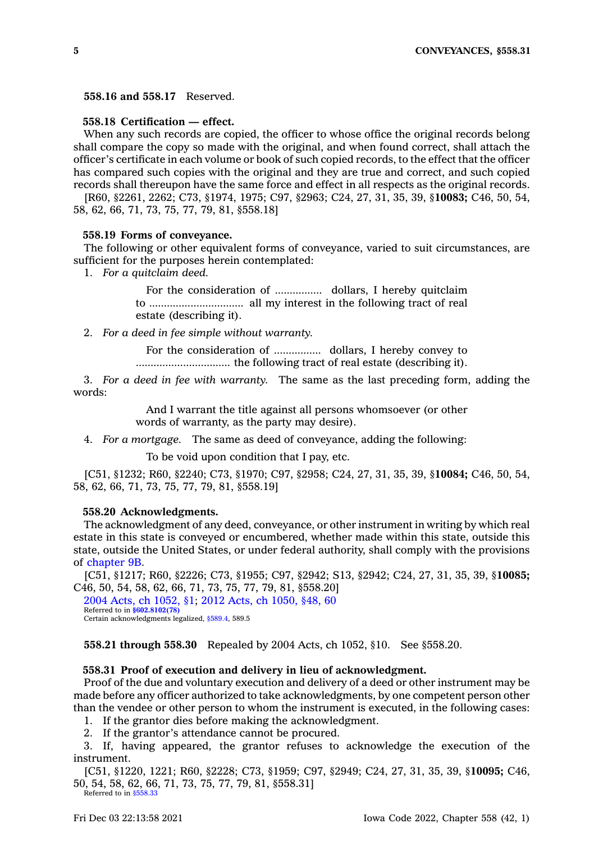**558.16 and 558.17** Reserved.

## **558.18 Certification — effect.**

When any such records are copied, the officer to whose office the original records belong shall compare the copy so made with the original, and when found correct, shall attach the officer's certificate in each volume or book of such copied records, to the effect that the officer has compared such copies with the original and they are true and correct, and such copied records shall thereupon have the same force and effect in all respects as the original records.

[R60, §2261, 2262; C73, §1974, 1975; C97, §2963; C24, 27, 31, 35, 39, §**10083;** C46, 50, 54, 58, 62, 66, 71, 73, 75, 77, 79, 81, §558.18]

#### **558.19 Forms of conveyance.**

The following or other equivalent forms of conveyance, varied to suit circumstances, are sufficient for the purposes herein contemplated:

1. *For <sup>a</sup> quitclaim deed.*

For the consideration of ................ dollars, I hereby quitclaim to ................................ all my interest in the following tract of real estate (describing it).

2. *For <sup>a</sup> deed in fee simple without warranty.*

For the consideration of ................ dollars, I hereby convey to ................................ the following tract of real estate (describing it).

3. *For <sup>a</sup> deed in fee with warranty.* The same as the last preceding form, adding the words:

> And I warrant the title against all persons whomsoever (or other words of warranty, as the party may desire).

4. *For <sup>a</sup> mortgage.* The same as deed of conveyance, adding the following:

To be void upon condition that I pay, etc.

[C51, §1232; R60, §2240; C73, §1970; C97, §2958; C24, 27, 31, 35, 39, §**10084;** C46, 50, 54, 58, 62, 66, 71, 73, 75, 77, 79, 81, §558.19]

#### **558.20 Acknowledgments.**

The acknowledgment of any deed, conveyance, or other instrument in writing by which real estate in this state is conveyed or encumbered, whether made within this state, outside this state, outside the United States, or under federal authority, shall comply with the provisions of [chapter](https://www.legis.iowa.gov/docs/code//9B.pdf) 9B.

[C51, §1217; R60, §2226; C73, §1955; C97, §2942; S13, §2942; C24, 27, 31, 35, 39, §**10085;** C46, 50, 54, 58, 62, 66, 71, 73, 75, 77, 79, 81, §558.20]

2004 Acts, ch [1052,](https://www.legis.iowa.gov/docs/acts/2004/CH1052.pdf) §1; 2012 Acts, ch [1050,](https://www.legis.iowa.gov/docs/acts/2012/CH1050.pdf) §48, 60 Referred to in **[§602.8102\(78\)](https://www.legis.iowa.gov/docs/code/602.8102.pdf)** Certain acknowledgments legalized, [§589.4,](https://www.legis.iowa.gov/docs/code/589.4.pdf) 589.5

**558.21 through 558.30** Repealed by 2004 Acts, ch 1052, §10. See §558.20.

## **558.31 Proof of execution and delivery in lieu of acknowledgment.**

Proof of the due and voluntary execution and delivery of <sup>a</sup> deed or other instrument may be made before any officer authorized to take acknowledgments, by one competent person other than the vendee or other person to whom the instrument is executed, in the following cases:

1. If the grantor dies before making the acknowledgment.

2. If the grantor's attendance cannot be procured.

3. If, having appeared, the grantor refuses to acknowledge the execution of the instrument.

[C51, §1220, 1221; R60, §2228; C73, §1959; C97, §2949; C24, 27, 31, 35, 39, §**10095;** C46, 50, 54, 58, 62, 66, 71, 73, 75, 77, 79, 81, §558.31] Referred to in [§558.33](https://www.legis.iowa.gov/docs/code/558.33.pdf)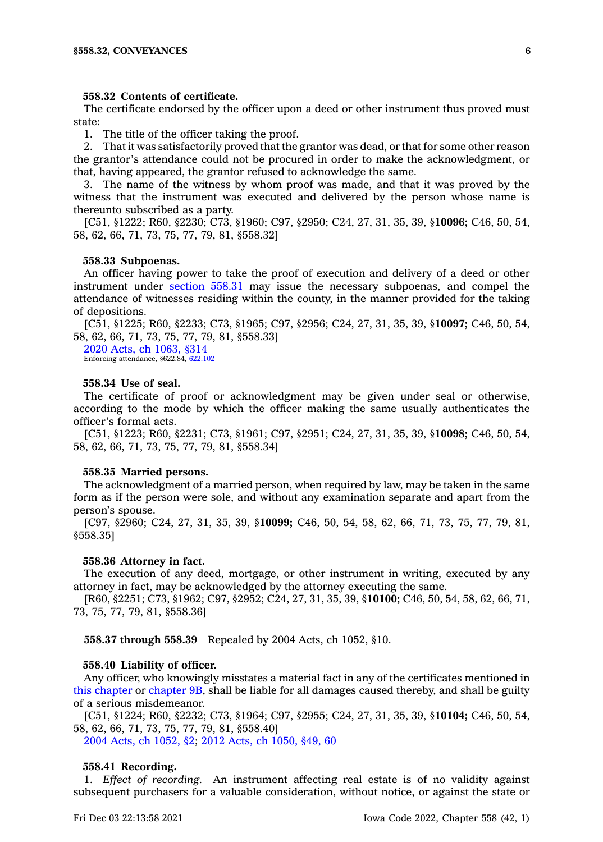#### **558.32 Contents of certificate.**

The certificate endorsed by the officer upon <sup>a</sup> deed or other instrument thus proved must state:

1. The title of the officer taking the proof.

2. That it was satisfactorily proved that the grantor was dead, or that for some other reason the grantor's attendance could not be procured in order to make the acknowledgment, or that, having appeared, the grantor refused to acknowledge the same.

3. The name of the witness by whom proof was made, and that it was proved by the witness that the instrument was executed and delivered by the person whose name is thereunto subscribed as <sup>a</sup> party.

[C51, §1222; R60, §2230; C73, §1960; C97, §2950; C24, 27, 31, 35, 39, §**10096;** C46, 50, 54, 58, 62, 66, 71, 73, 75, 77, 79, 81, §558.32]

## **558.33 Subpoenas.**

An officer having power to take the proof of execution and delivery of <sup>a</sup> deed or other instrument under [section](https://www.legis.iowa.gov/docs/code/558.31.pdf) 558.31 may issue the necessary subpoenas, and compel the attendance of witnesses residing within the county, in the manner provided for the taking of depositions.

[C51, §1225; R60, §2233; C73, §1965; C97, §2956; C24, 27, 31, 35, 39, §**10097;** C46, 50, 54, 58, 62, 66, 71, 73, 75, 77, 79, 81, §558.33]

2020 Acts, ch [1063,](https://www.legis.iowa.gov/docs/acts/2020/CH1063.pdf) §314 Enforcing attendance, §622.84, [622.102](https://www.legis.iowa.gov/docs/code/622.102.pdf)

#### **558.34 Use of seal.**

The certificate of proof or acknowledgment may be given under seal or otherwise, according to the mode by which the officer making the same usually authenticates the officer's formal acts.

[C51, §1223; R60, §2231; C73, §1961; C97, §2951; C24, 27, 31, 35, 39, §**10098;** C46, 50, 54, 58, 62, 66, 71, 73, 75, 77, 79, 81, §558.34]

#### **558.35 Married persons.**

The acknowledgment of <sup>a</sup> married person, when required by law, may be taken in the same form as if the person were sole, and without any examination separate and apart from the person's spouse.

[C97, §2960; C24, 27, 31, 35, 39, §**10099;** C46, 50, 54, 58, 62, 66, 71, 73, 75, 77, 79, 81, §558.35]

#### **558.36 Attorney in fact.**

The execution of any deed, mortgage, or other instrument in writing, executed by any attorney in fact, may be acknowledged by the attorney executing the same.

[R60, §2251; C73, §1962; C97, §2952; C24, 27, 31, 35, 39, §**10100;** C46, 50, 54, 58, 62, 66, 71, 73, 75, 77, 79, 81, §558.36]

**558.37 through 558.39** Repealed by 2004 Acts, ch 1052, §10.

#### **558.40 Liability of officer.**

Any officer, who knowingly misstates <sup>a</sup> material fact in any of the certificates mentioned in this [chapter](https://www.legis.iowa.gov/docs/code//558.pdf) or [chapter](https://www.legis.iowa.gov/docs/code//9B.pdf) 9B, shall be liable for all damages caused thereby, and shall be guilty of <sup>a</sup> serious misdemeanor.

[C51, §1224; R60, §2232; C73, §1964; C97, §2955; C24, 27, 31, 35, 39, §**10104;** C46, 50, 54, 58, 62, 66, 71, 73, 75, 77, 79, 81, §558.40]

2004 Acts, ch [1052,](https://www.legis.iowa.gov/docs/acts/2004/CH1052.pdf) §2; 2012 Acts, ch [1050,](https://www.legis.iowa.gov/docs/acts/2012/CH1050.pdf) §49, 60

#### **558.41 Recording.**

1. *Effect of recording.* An instrument affecting real estate is of no validity against subsequent purchasers for <sup>a</sup> valuable consideration, without notice, or against the state or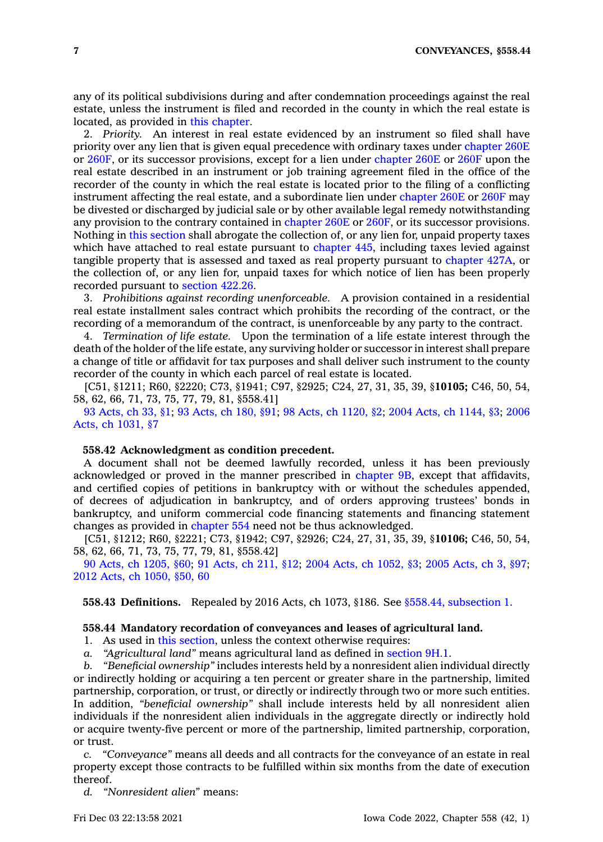any of its political subdivisions during and after condemnation proceedings against the real estate, unless the instrument is filed and recorded in the county in which the real estate is located, as provided in this [chapter](https://www.legis.iowa.gov/docs/code//558.pdf).

2. *Priority.* An interest in real estate evidenced by an instrument so filed shall have priority over any lien that is given equal precedence with ordinary taxes under [chapter](https://www.legis.iowa.gov/docs/code//260E.pdf) 260E or [260F](https://www.legis.iowa.gov/docs/code//260F.pdf), or its successor provisions, except for <sup>a</sup> lien under [chapter](https://www.legis.iowa.gov/docs/code//260E.pdf) 260E or [260F](https://www.legis.iowa.gov/docs/code//260F.pdf) upon the real estate described in an instrument or job training agreement filed in the office of the recorder of the county in which the real estate is located prior to the filing of <sup>a</sup> conflicting instrument affecting the real estate, and <sup>a</sup> subordinate lien under [chapter](https://www.legis.iowa.gov/docs/code//260E.pdf) 260E or [260F](https://www.legis.iowa.gov/docs/code//260F.pdf) may be divested or discharged by judicial sale or by other available legal remedy notwithstanding any provision to the contrary contained in [chapter](https://www.legis.iowa.gov/docs/code//260E.pdf) 260E or [260F](https://www.legis.iowa.gov/docs/code//260F.pdf), or its successor provisions. Nothing in this [section](https://www.legis.iowa.gov/docs/code/558.41.pdf) shall abrogate the collection of, or any lien for, unpaid property taxes which have attached to real estate pursuant to [chapter](https://www.legis.iowa.gov/docs/code//445.pdf) 445, including taxes levied against tangible property that is assessed and taxed as real property pursuant to [chapter](https://www.legis.iowa.gov/docs/code//427A.pdf) 427A, or the collection of, or any lien for, unpaid taxes for which notice of lien has been properly recorded pursuant to [section](https://www.legis.iowa.gov/docs/code/422.26.pdf) 422.26.

3. *Prohibitions against recording unenforceable.* A provision contained in <sup>a</sup> residential real estate installment sales contract which prohibits the recording of the contract, or the recording of <sup>a</sup> memorandum of the contract, is unenforceable by any party to the contract.

4. *Termination of life estate.* Upon the termination of <sup>a</sup> life estate interest through the death of the holder of the life estate, any surviving holder or successor in interest shall prepare <sup>a</sup> change of title or affidavit for tax purposes and shall deliver such instrument to the county recorder of the county in which each parcel of real estate is located.

[C51, §1211; R60, §2220; C73, §1941; C97, §2925; C24, 27, 31, 35, 39, §**10105;** C46, 50, 54, 58, 62, 66, 71, 73, 75, 77, 79, 81, §558.41]

93 [Acts,](https://www.legis.iowa.gov/docs/acts/1993/CH0033.pdf) ch 33, §1; 93 [Acts,](https://www.legis.iowa.gov/docs/acts/1993/CH0180.pdf) ch 180, §91; 98 Acts, ch [1120,](https://www.legis.iowa.gov/docs/acts/1998/CH1120.pdf) §2; 2004 Acts, ch [1144,](https://www.legis.iowa.gov/docs/acts/2004/CH1144.pdf) §3; [2006](https://www.legis.iowa.gov/docs/acts/2006/CH1031.pdf) Acts, ch [1031,](https://www.legis.iowa.gov/docs/acts/2006/CH1031.pdf) §7

## **558.42 Acknowledgment as condition precedent.**

A document shall not be deemed lawfully recorded, unless it has been previously acknowledged or proved in the manner prescribed in [chapter](https://www.legis.iowa.gov/docs/code//9B.pdf) 9B, except that affidavits, and certified copies of petitions in bankruptcy with or without the schedules appended, of decrees of adjudication in bankruptcy, and of orders approving trustees' bonds in bankruptcy, and uniform commercial code financing statements and financing statement changes as provided in [chapter](https://www.legis.iowa.gov/docs/code//554.pdf) 554 need not be thus acknowledged.

[C51, §1212; R60, §2221; C73, §1942; C97, §2926; C24, 27, 31, 35, 39, §**10106;** C46, 50, 54, 58, 62, 66, 71, 73, 75, 77, 79, 81, §558.42]

90 Acts, ch [1205,](https://www.legis.iowa.gov/docs/acts/1990/CH1205.pdf) §60; 91 [Acts,](https://www.legis.iowa.gov/docs/acts/91/CH0211.pdf) ch 211, §12; 2004 Acts, ch [1052,](https://www.legis.iowa.gov/docs/acts/2004/CH1052.pdf) §3; 2005 [Acts,](https://www.legis.iowa.gov/docs/acts/2005/CH0003.pdf) ch 3, §97; 2012 Acts, ch [1050,](https://www.legis.iowa.gov/docs/acts/2012/CH1050.pdf) §50, 60

**558.43 Definitions.** Repealed by 2016 Acts, ch 1073, §186. See §558.44, [subsection](https://www.legis.iowa.gov/docs/code/558.44.pdf) 1.

## **558.44 Mandatory recordation of conveyances and leases of agricultural land.**

1. As used in this [section](https://www.legis.iowa.gov/docs/code/558.44.pdf), unless the context otherwise requires:

*a. "Agricultural land"* means agricultural land as defined in [section](https://www.legis.iowa.gov/docs/code/9H.1.pdf) 9H.1.

*b. "Beneficial ownership"* includes interests held by <sup>a</sup> nonresident alien individual directly or indirectly holding or acquiring <sup>a</sup> ten percent or greater share in the partnership, limited partnership, corporation, or trust, or directly or indirectly through two or more such entities. In addition, *"beneficial ownership"* shall include interests held by all nonresident alien individuals if the nonresident alien individuals in the aggregate directly or indirectly hold or acquire twenty-five percent or more of the partnership, limited partnership, corporation, or trust.

*c. "Conveyance"* means all deeds and all contracts for the conveyance of an estate in real property except those contracts to be fulfilled within six months from the date of execution thereof.

*d. "Nonresident alien"* means: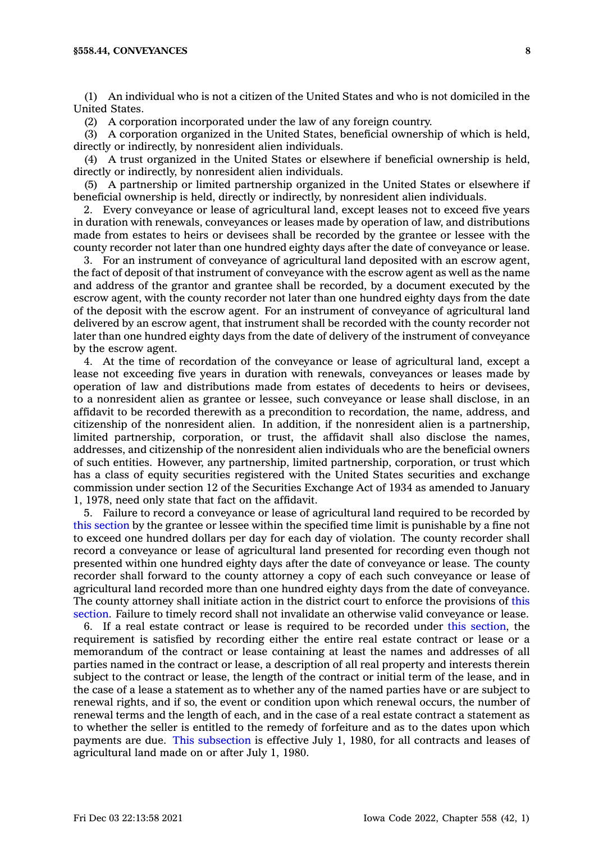(1) An individual who is not <sup>a</sup> citizen of the United States and who is not domiciled in the United States.

(2) A corporation incorporated under the law of any foreign country.

(3) A corporation organized in the United States, beneficial ownership of which is held, directly or indirectly, by nonresident alien individuals.

(4) A trust organized in the United States or elsewhere if beneficial ownership is held, directly or indirectly, by nonresident alien individuals.

(5) A partnership or limited partnership organized in the United States or elsewhere if beneficial ownership is held, directly or indirectly, by nonresident alien individuals.

2. Every conveyance or lease of agricultural land, except leases not to exceed five years in duration with renewals, conveyances or leases made by operation of law, and distributions made from estates to heirs or devisees shall be recorded by the grantee or lessee with the county recorder not later than one hundred eighty days after the date of conveyance or lease.

3. For an instrument of conveyance of agricultural land deposited with an escrow agent, the fact of deposit of that instrument of conveyance with the escrow agent as well as the name and address of the grantor and grantee shall be recorded, by <sup>a</sup> document executed by the escrow agent, with the county recorder not later than one hundred eighty days from the date of the deposit with the escrow agent. For an instrument of conveyance of agricultural land delivered by an escrow agent, that instrument shall be recorded with the county recorder not later than one hundred eighty days from the date of delivery of the instrument of conveyance by the escrow agent.

4. At the time of recordation of the conveyance or lease of agricultural land, except <sup>a</sup> lease not exceeding five years in duration with renewals, conveyances or leases made by operation of law and distributions made from estates of decedents to heirs or devisees, to <sup>a</sup> nonresident alien as grantee or lessee, such conveyance or lease shall disclose, in an affidavit to be recorded therewith as <sup>a</sup> precondition to recordation, the name, address, and citizenship of the nonresident alien. In addition, if the nonresident alien is <sup>a</sup> partnership, limited partnership, corporation, or trust, the affidavit shall also disclose the names, addresses, and citizenship of the nonresident alien individuals who are the beneficial owners of such entities. However, any partnership, limited partnership, corporation, or trust which has <sup>a</sup> class of equity securities registered with the United States securities and exchange commission under section 12 of the Securities Exchange Act of 1934 as amended to January 1, 1978, need only state that fact on the affidavit.

5. Failure to record <sup>a</sup> conveyance or lease of agricultural land required to be recorded by this [section](https://www.legis.iowa.gov/docs/code/558.44.pdf) by the grantee or lessee within the specified time limit is punishable by <sup>a</sup> fine not to exceed one hundred dollars per day for each day of violation. The county recorder shall record <sup>a</sup> conveyance or lease of agricultural land presented for recording even though not presented within one hundred eighty days after the date of conveyance or lease. The county recorder shall forward to the county attorney <sup>a</sup> copy of each such conveyance or lease of agricultural land recorded more than one hundred eighty days from the date of conveyance. The county attorney shall initiate action in the district court to enforce the provisions of [this](https://www.legis.iowa.gov/docs/code/558.44.pdf) [section](https://www.legis.iowa.gov/docs/code/558.44.pdf). Failure to timely record shall not invalidate an otherwise valid conveyance or lease.

6. If <sup>a</sup> real estate contract or lease is required to be recorded under this [section](https://www.legis.iowa.gov/docs/code/558.44.pdf), the requirement is satisfied by recording either the entire real estate contract or lease or <sup>a</sup> memorandum of the contract or lease containing at least the names and addresses of all parties named in the contract or lease, <sup>a</sup> description of all real property and interests therein subject to the contract or lease, the length of the contract or initial term of the lease, and in the case of <sup>a</sup> lease <sup>a</sup> statement as to whether any of the named parties have or are subject to renewal rights, and if so, the event or condition upon which renewal occurs, the number of renewal terms and the length of each, and in the case of <sup>a</sup> real estate contract <sup>a</sup> statement as to whether the seller is entitled to the remedy of forfeiture and as to the dates upon which payments are due. This [subsection](https://www.legis.iowa.gov/docs/code/558.44.pdf) is effective July 1, 1980, for all contracts and leases of agricultural land made on or after July 1, 1980.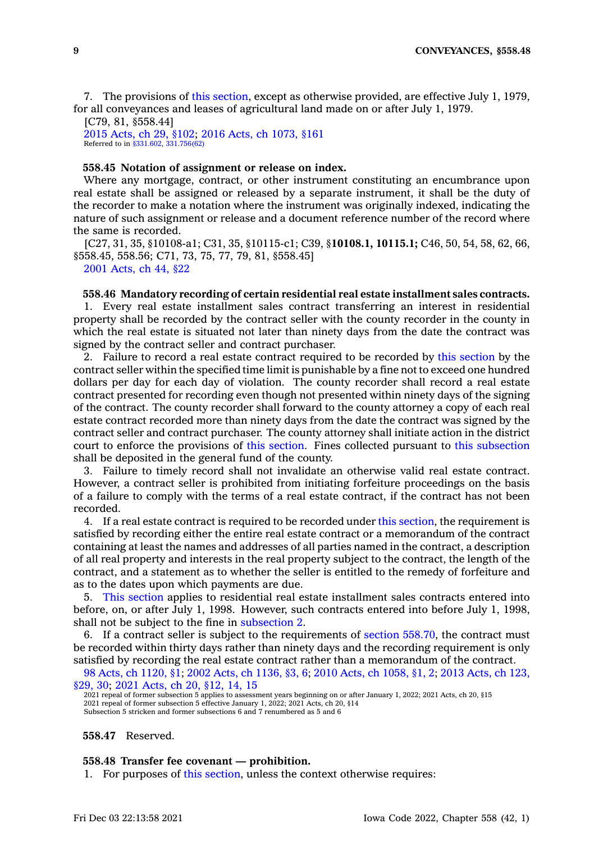7. The provisions of this [section](https://www.legis.iowa.gov/docs/code/558.44.pdf), except as otherwise provided, are effective July 1, 1979, for all conveyances and leases of agricultural land made on or after July 1, 1979.

[C79, 81, §558.44] 2015 [Acts,](https://www.legis.iowa.gov/docs/acts/2015/CH0029.pdf) ch 29, §102; 2016 Acts, ch [1073,](https://www.legis.iowa.gov/docs/acts/2016/CH1073.pdf) §161 Referred to in [§331.602](https://www.legis.iowa.gov/docs/code/331.602.pdf), [331.756\(62\)](https://www.legis.iowa.gov/docs/code/331.756.pdf)

## **558.45 Notation of assignment or release on index.**

Where any mortgage, contract, or other instrument constituting an encumbrance upon real estate shall be assigned or released by <sup>a</sup> separate instrument, it shall be the duty of the recorder to make <sup>a</sup> notation where the instrument was originally indexed, indicating the nature of such assignment or release and <sup>a</sup> document reference number of the record where the same is recorded.

[C27, 31, 35, §10108-a1; C31, 35, §10115-c1; C39, §**10108.1, 10115.1;** C46, 50, 54, 58, 62, 66, §558.45, 558.56; C71, 73, 75, 77, 79, 81, §558.45] 2001 [Acts,](https://www.legis.iowa.gov/docs/acts/2001/CH0044.pdf) ch 44, §22

## **558.46 Mandatory recording of certain residential real estate installment sales contracts.**

1. Every real estate installment sales contract transferring an interest in residential property shall be recorded by the contract seller with the county recorder in the county in which the real estate is situated not later than ninety days from the date the contract was signed by the contract seller and contract purchaser.

2. Failure to record <sup>a</sup> real estate contract required to be recorded by this [section](https://www.legis.iowa.gov/docs/code/558.46.pdf) by the contract seller within the specified time limit is punishable by <sup>a</sup> fine not to exceed one hundred dollars per day for each day of violation. The county recorder shall record <sup>a</sup> real estate contract presented for recording even though not presented within ninety days of the signing of the contract. The county recorder shall forward to the county attorney <sup>a</sup> copy of each real estate contract recorded more than ninety days from the date the contract was signed by the contract seller and contract purchaser. The county attorney shall initiate action in the district court to enforce the provisions of this [section](https://www.legis.iowa.gov/docs/code/558.46.pdf). Fines collected pursuant to this [subsection](https://www.legis.iowa.gov/docs/code/558.46.pdf) shall be deposited in the general fund of the county.

3. Failure to timely record shall not invalidate an otherwise valid real estate contract. However, <sup>a</sup> contract seller is prohibited from initiating forfeiture proceedings on the basis of <sup>a</sup> failure to comply with the terms of <sup>a</sup> real estate contract, if the contract has not been recorded.

4. If <sup>a</sup> real estate contract is required to be recorded under this [section](https://www.legis.iowa.gov/docs/code/558.46.pdf), the requirement is satisfied by recording either the entire real estate contract or <sup>a</sup> memorandum of the contract containing at least the names and addresses of all parties named in the contract, <sup>a</sup> description of all real property and interests in the real property subject to the contract, the length of the contract, and <sup>a</sup> statement as to whether the seller is entitled to the remedy of forfeiture and as to the dates upon which payments are due.

5. This [section](https://www.legis.iowa.gov/docs/code/558.46.pdf) applies to residential real estate installment sales contracts entered into before, on, or after July 1, 1998. However, such contracts entered into before July 1, 1998, shall not be subject to the fine in [subsection](https://www.legis.iowa.gov/docs/code/558.46.pdf) 2.

6. If <sup>a</sup> contract seller is subject to the requirements of section [558.70](https://www.legis.iowa.gov/docs/code/558.70.pdf), the contract must be recorded within thirty days rather than ninety days and the recording requirement is only satisfied by recording the real estate contract rather than <sup>a</sup> memorandum of the contract.

98 Acts, ch [1120,](https://www.legis.iowa.gov/docs/acts/1998/CH1120.pdf) §1; 2002 Acts, ch [1136,](https://www.legis.iowa.gov/docs/acts/2002/CH1136.pdf) §3, 6; 2010 Acts, ch [1058,](https://www.legis.iowa.gov/docs/acts/2010/CH1058.pdf) §1, 2; 2013 [Acts,](https://www.legis.iowa.gov/docs/acts/2013/CH0123.pdf) ch 123, [§29,](https://www.legis.iowa.gov/docs/acts/2013/CH0123.pdf) 30; 2021 [Acts,](https://www.legis.iowa.gov/docs/acts/2021/CH0020.pdf) ch 20, §12, 14, 15

## **558.47** Reserved.

#### **558.48 Transfer fee covenant —prohibition.**

1. For purposes of this [section](https://www.legis.iowa.gov/docs/code/558.48.pdf), unless the context otherwise requires:

<sup>2021</sup> repeal of former subsection 5 applies to assessment years beginning on or after January 1, 2022; 2021 Acts, ch 20, §15 2021 repeal of former subsection 5 effective January 1, 2022; 2021 Acts, ch 20, §14 Subsection 5 stricken and former subsections 6 and 7 renumbered as 5 and 6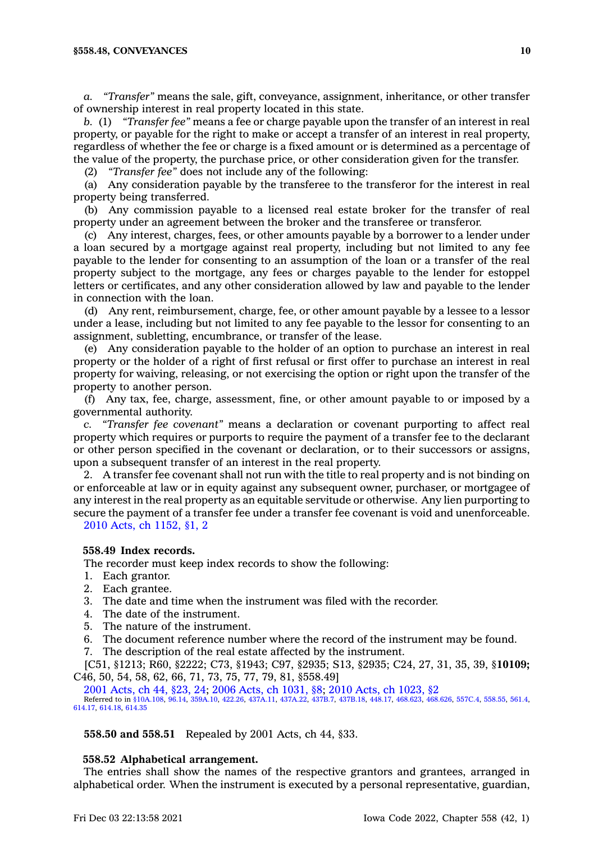*a. "Transfer"* means the sale, gift, conveyance, assignment, inheritance, or other transfer of ownership interest in real property located in this state.

*b.* (1) *"Transfer fee"* means <sup>a</sup> fee or charge payable upon the transfer of an interest in real property, or payable for the right to make or accept <sup>a</sup> transfer of an interest in real property, regardless of whether the fee or charge is <sup>a</sup> fixed amount or is determined as <sup>a</sup> percentage of the value of the property, the purchase price, or other consideration given for the transfer.

(2) *"Transfer fee"* does not include any of the following:

(a) Any consideration payable by the transferee to the transferor for the interest in real property being transferred.

(b) Any commission payable to <sup>a</sup> licensed real estate broker for the transfer of real property under an agreement between the broker and the transferee or transferor.

(c) Any interest, charges, fees, or other amounts payable by <sup>a</sup> borrower to <sup>a</sup> lender under <sup>a</sup> loan secured by <sup>a</sup> mortgage against real property, including but not limited to any fee payable to the lender for consenting to an assumption of the loan or <sup>a</sup> transfer of the real property subject to the mortgage, any fees or charges payable to the lender for estoppel letters or certificates, and any other consideration allowed by law and payable to the lender in connection with the loan.

(d) Any rent, reimbursement, charge, fee, or other amount payable by <sup>a</sup> lessee to <sup>a</sup> lessor under <sup>a</sup> lease, including but not limited to any fee payable to the lessor for consenting to an assignment, subletting, encumbrance, or transfer of the lease.

(e) Any consideration payable to the holder of an option to purchase an interest in real property or the holder of <sup>a</sup> right of first refusal or first offer to purchase an interest in real property for waiving, releasing, or not exercising the option or right upon the transfer of the property to another person.

(f) Any tax, fee, charge, assessment, fine, or other amount payable to or imposed by <sup>a</sup> governmental authority.

*c. "Transfer fee covenant"* means <sup>a</sup> declaration or covenant purporting to affect real property which requires or purports to require the payment of <sup>a</sup> transfer fee to the declarant or other person specified in the covenant or declaration, or to their successors or assigns, upon <sup>a</sup> subsequent transfer of an interest in the real property.

2. A transfer fee covenant shall not run with the title to real property and is not binding on or enforceable at law or in equity against any subsequent owner, purchaser, or mortgagee of any interest in the real property as an equitable servitude or otherwise. Any lien purporting to secure the payment of <sup>a</sup> transfer fee under <sup>a</sup> transfer fee covenant is void and unenforceable. 2010 Acts, ch [1152,](https://www.legis.iowa.gov/docs/acts/2010/CH1152.pdf) §1, 2

## **558.49 Index records.**

The recorder must keep index records to show the following:

- 1. Each grantor.
- 2. Each grantee.
- 3. The date and time when the instrument was filed with the recorder.
- 4. The date of the instrument.
- 5. The nature of the instrument.
- 6. The document reference number where the record of the instrument may be found.
- 7. The description of the real estate affected by the instrument.

[C51, §1213; R60, §2222; C73, §1943; C97, §2935; S13, §2935; C24, 27, 31, 35, 39, §**10109;** C46, 50, 54, 58, 62, 66, 71, 73, 75, 77, 79, 81, §558.49]

2001 [Acts,](https://www.legis.iowa.gov/docs/acts/2001/CH0044.pdf) ch 44, §23, 24; 2006 Acts, ch [1031,](https://www.legis.iowa.gov/docs/acts/2006/CH1031.pdf) §8; 2010 Acts, ch [1023,](https://www.legis.iowa.gov/docs/acts/2010/CH1023.pdf) §2 Referred to in [§10A.108](https://www.legis.iowa.gov/docs/code/10A.108.pdf), [96.14](https://www.legis.iowa.gov/docs/code/96.14.pdf), [359A.10](https://www.legis.iowa.gov/docs/code/359A.10.pdf), [422.26](https://www.legis.iowa.gov/docs/code/422.26.pdf), [437A.11,](https://www.legis.iowa.gov/docs/code/437A.11.pdf) [437A.22](https://www.legis.iowa.gov/docs/code/437A.22.pdf), [437B.7](https://www.legis.iowa.gov/docs/code/437B.7.pdf), [437B.18](https://www.legis.iowa.gov/docs/code/437B.18.pdf), [448.17](https://www.legis.iowa.gov/docs/code/448.17.pdf), [468.623](https://www.legis.iowa.gov/docs/code/468.623.pdf), [468.626](https://www.legis.iowa.gov/docs/code/468.626.pdf), [557C.4](https://www.legis.iowa.gov/docs/code/557C.4.pdf), [558.55](https://www.legis.iowa.gov/docs/code/558.55.pdf), [561.4](https://www.legis.iowa.gov/docs/code/561.4.pdf), [614.17](https://www.legis.iowa.gov/docs/code/614.17.pdf), [614.18](https://www.legis.iowa.gov/docs/code/614.18.pdf), [614.35](https://www.legis.iowa.gov/docs/code/614.35.pdf)

**558.50 and 558.51** Repealed by 2001 Acts, ch 44, §33.

#### **558.52 Alphabetical arrangement.**

The entries shall show the names of the respective grantors and grantees, arranged in alphabetical order. When the instrument is executed by <sup>a</sup> personal representative, guardian,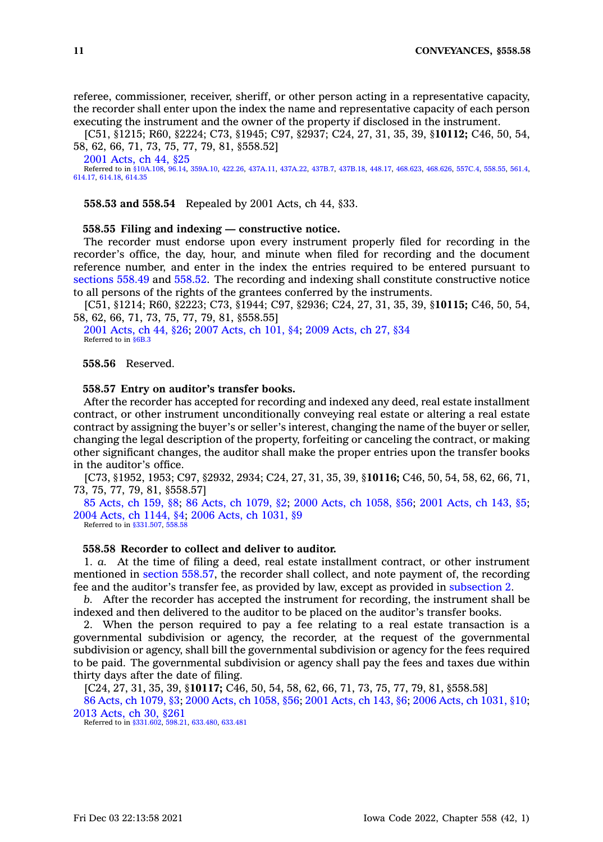referee, commissioner, receiver, sheriff, or other person acting in <sup>a</sup> representative capacity, the recorder shall enter upon the index the name and representative capacity of each person executing the instrument and the owner of the property if disclosed in the instrument.

[C51, §1215; R60, §2224; C73, §1945; C97, §2937; C24, 27, 31, 35, 39, §**10112;** C46, 50, 54, 58, 62, 66, 71, 73, 75, 77, 79, 81, §558.52]

2001 [Acts,](https://www.legis.iowa.gov/docs/acts/2001/CH0044.pdf) ch 44, §25 Referred to in [§10A.108](https://www.legis.iowa.gov/docs/code/10A.108.pdf), [96.14](https://www.legis.iowa.gov/docs/code/96.14.pdf), [359A.10](https://www.legis.iowa.gov/docs/code/359A.10.pdf), [422.26](https://www.legis.iowa.gov/docs/code/422.26.pdf), [437A.11,](https://www.legis.iowa.gov/docs/code/437A.11.pdf) [437A.22](https://www.legis.iowa.gov/docs/code/437A.22.pdf), [437B.7](https://www.legis.iowa.gov/docs/code/437B.7.pdf), [437B.18](https://www.legis.iowa.gov/docs/code/437B.18.pdf), [448.17](https://www.legis.iowa.gov/docs/code/448.17.pdf), [468.623](https://www.legis.iowa.gov/docs/code/468.623.pdf), [468.626](https://www.legis.iowa.gov/docs/code/468.626.pdf), [557C.4](https://www.legis.iowa.gov/docs/code/557C.4.pdf), [558.55](https://www.legis.iowa.gov/docs/code/558.55.pdf), [561.4](https://www.legis.iowa.gov/docs/code/561.4.pdf), [614.17](https://www.legis.iowa.gov/docs/code/614.17.pdf), [614.18](https://www.legis.iowa.gov/docs/code/614.18.pdf), [614.35](https://www.legis.iowa.gov/docs/code/614.35.pdf)

**558.53 and 558.54** Repealed by 2001 Acts, ch 44, §33.

**558.55 Filing and indexing — constructive notice.**

The recorder must endorse upon every instrument properly filed for recording in the recorder's office, the day, hour, and minute when filed for recording and the document reference number, and enter in the index the entries required to be entered pursuant to [sections](https://www.legis.iowa.gov/docs/code/558.49.pdf) 558.49 and [558.52](https://www.legis.iowa.gov/docs/code/558.52.pdf). The recording and indexing shall constitute constructive notice to all persons of the rights of the grantees conferred by the instruments.

[C51, §1214; R60, §2223; C73, §1944; C97, §2936; C24, 27, 31, 35, 39, §**10115;** C46, 50, 54, 58, 62, 66, 71, 73, 75, 77, 79, 81, §558.55]

2001 [Acts,](https://www.legis.iowa.gov/docs/acts/2001/CH0044.pdf) ch 44, §26; 2007 [Acts,](https://www.legis.iowa.gov/docs/acts/2007/CH0101.pdf) ch 101, §4; 2009 [Acts,](https://www.legis.iowa.gov/docs/acts/2009/CH0027.pdf) ch 27, §34 Referred to in [§6B.3](https://www.legis.iowa.gov/docs/code/6B.3.pdf)

**558.56** Reserved.

#### **558.57 Entry on auditor's transfer books.**

After the recorder has accepted for recording and indexed any deed, real estate installment contract, or other instrument unconditionally conveying real estate or altering <sup>a</sup> real estate contract by assigning the buyer's or seller's interest, changing the name of the buyer or seller, changing the legal description of the property, forfeiting or canceling the contract, or making other significant changes, the auditor shall make the proper entries upon the transfer books in the auditor's office.

[C73, §1952, 1953; C97, §2932, 2934; C24, 27, 31, 35, 39, §**10116;** C46, 50, 54, 58, 62, 66, 71, 73, 75, 77, 79, 81, §558.57]

85 [Acts,](https://www.legis.iowa.gov/docs/acts/1985/CH0159.pdf) ch 159, §8; 86 Acts, ch [1079,](https://www.legis.iowa.gov/docs/acts/1986/CH1079.pdf) §2; 2000 Acts, ch [1058,](https://www.legis.iowa.gov/docs/acts/2000/CH1058.pdf) §56; 2001 [Acts,](https://www.legis.iowa.gov/docs/acts/2001/CH0143.pdf) ch 143, §5; 2004 Acts, ch [1144,](https://www.legis.iowa.gov/docs/acts/2004/CH1144.pdf) §4; 2006 Acts, ch [1031,](https://www.legis.iowa.gov/docs/acts/2006/CH1031.pdf) §9 Referred to in [§331.507](https://www.legis.iowa.gov/docs/code/331.507.pdf), [558.58](https://www.legis.iowa.gov/docs/code/558.58.pdf)

**558.58 Recorder to collect and deliver to auditor.**

1. *a.* At the time of filing <sup>a</sup> deed, real estate installment contract, or other instrument mentioned in section [558.57](https://www.legis.iowa.gov/docs/code/558.57.pdf), the recorder shall collect, and note payment of, the recording fee and the auditor's transfer fee, as provided by law, except as provided in [subsection](https://www.legis.iowa.gov/docs/code/558.58.pdf) 2.

*b.* After the recorder has accepted the instrument for recording, the instrument shall be indexed and then delivered to the auditor to be placed on the auditor's transfer books.

2. When the person required to pay <sup>a</sup> fee relating to <sup>a</sup> real estate transaction is <sup>a</sup> governmental subdivision or agency, the recorder, at the request of the governmental subdivision or agency, shall bill the governmental subdivision or agency for the fees required to be paid. The governmental subdivision or agency shall pay the fees and taxes due within thirty days after the date of filing.

[C24, 27, 31, 35, 39, §**10117;** C46, 50, 54, 58, 62, 66, 71, 73, 75, 77, 79, 81, §558.58]

86 Acts, ch [1079,](https://www.legis.iowa.gov/docs/acts/1986/CH1079.pdf) §3; 2000 Acts, ch [1058,](https://www.legis.iowa.gov/docs/acts/2000/CH1058.pdf) §56; 2001 [Acts,](https://www.legis.iowa.gov/docs/acts/2001/CH0143.pdf) ch 143, §6; 2006 Acts, ch [1031,](https://www.legis.iowa.gov/docs/acts/2006/CH1031.pdf) §10; 2013 [Acts,](https://www.legis.iowa.gov/docs/acts/2013/CH0030.pdf) ch 30, §261

Referred to in [§331.602](https://www.legis.iowa.gov/docs/code/331.602.pdf), [598.21](https://www.legis.iowa.gov/docs/code/598.21.pdf), [633.480](https://www.legis.iowa.gov/docs/code/633.480.pdf), [633.481](https://www.legis.iowa.gov/docs/code/633.481.pdf)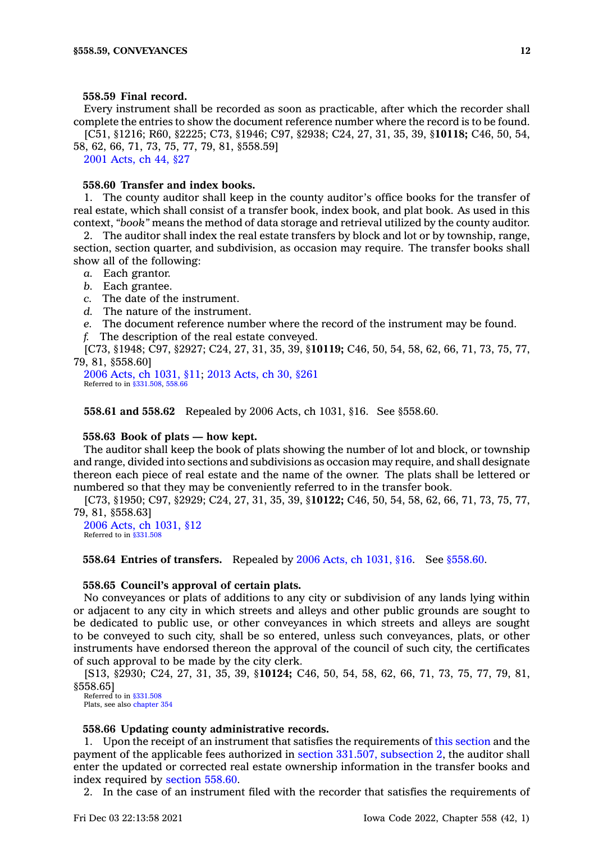#### **558.59 Final record.**

Every instrument shall be recorded as soon as practicable, after which the recorder shall complete the entries to show the document reference number where the record is to be found. [C51, §1216; R60, §2225; C73, §1946; C97, §2938; C24, 27, 31, 35, 39, §**10118;** C46, 50, 54,

58, 62, 66, 71, 73, 75, 77, 79, 81, §558.59] 2001 [Acts,](https://www.legis.iowa.gov/docs/acts/2001/CH0044.pdf) ch 44, §27

#### **558.60 Transfer and index books.**

1. The county auditor shall keep in the county auditor's office books for the transfer of real estate, which shall consist of <sup>a</sup> transfer book, index book, and plat book. As used in this context, *"book"* means the method of data storage and retrieval utilized by the county auditor.

2. The auditor shall index the real estate transfers by block and lot or by township, range, section, section quarter, and subdivision, as occasion may require. The transfer books shall show all of the following:

- *a.* Each grantor.
- *b.* Each grantee.
- *c.* The date of the instrument.
- *d.* The nature of the instrument.
- *e.* The document reference number where the record of the instrument may be found.
- *f.* The description of the real estate conveyed.

[C73, §1948; C97, §2927; C24, 27, 31, 35, 39, §**10119;** C46, 50, 54, 58, 62, 66, 71, 73, 75, 77, 79, 81, §558.60]

2006 Acts, ch [1031,](https://www.legis.iowa.gov/docs/acts/2006/CH1031.pdf) §11; 2013 [Acts,](https://www.legis.iowa.gov/docs/acts/2013/CH0030.pdf) ch 30, §261 Referred to in [§331.508](https://www.legis.iowa.gov/docs/code/331.508.pdf), [558.66](https://www.legis.iowa.gov/docs/code/558.66.pdf)

**558.61 and 558.62** Repealed by 2006 Acts, ch 1031, §16. See §558.60.

#### **558.63 Book of plats — how kept.**

The auditor shall keep the book of plats showing the number of lot and block, or township and range, divided into sections and subdivisions as occasion may require, and shall designate thereon each piece of real estate and the name of the owner. The plats shall be lettered or numbered so that they may be conveniently referred to in the transfer book.

[C73, §1950; C97, §2929; C24, 27, 31, 35, 39, §**10122;** C46, 50, 54, 58, 62, 66, 71, 73, 75, 77, 79, 81, §558.63]

2006 Acts, ch [1031,](https://www.legis.iowa.gov/docs/acts/2006/CH1031.pdf) §12 Referred to in [§331.508](https://www.legis.iowa.gov/docs/code/331.508.pdf)

**558.64 Entries of transfers.** Repealed by 2006 Acts, ch [1031,](https://www.legis.iowa.gov/docs/acts/2006/CH1031.pdf) §16. See [§558.60](https://www.legis.iowa.gov/docs/code/558.60.pdf).

### **558.65 Council's approval of certain plats.**

No conveyances or plats of additions to any city or subdivision of any lands lying within or adjacent to any city in which streets and alleys and other public grounds are sought to be dedicated to public use, or other conveyances in which streets and alleys are sought to be conveyed to such city, shall be so entered, unless such conveyances, plats, or other instruments have endorsed thereon the approval of the council of such city, the certificates of such approval to be made by the city clerk.

[S13, §2930; C24, 27, 31, 35, 39, §**10124;** C46, 50, 54, 58, 62, 66, 71, 73, 75, 77, 79, 81, §558.65]

Referred to in [§331.508](https://www.legis.iowa.gov/docs/code/331.508.pdf) Plats, see also [chapter](https://www.legis.iowa.gov/docs/code//354.pdf) 354

#### **558.66 Updating county administrative records.**

1. Upon the receipt of an instrument that satisfies the requirements of this [section](https://www.legis.iowa.gov/docs/code/558.66.pdf) and the payment of the applicable fees authorized in section 331.507, [subsection](https://www.legis.iowa.gov/docs/code/331.507.pdf) 2, the auditor shall enter the updated or corrected real estate ownership information in the transfer books and index required by [section](https://www.legis.iowa.gov/docs/code/558.60.pdf) 558.60.

2. In the case of an instrument filed with the recorder that satisfies the requirements of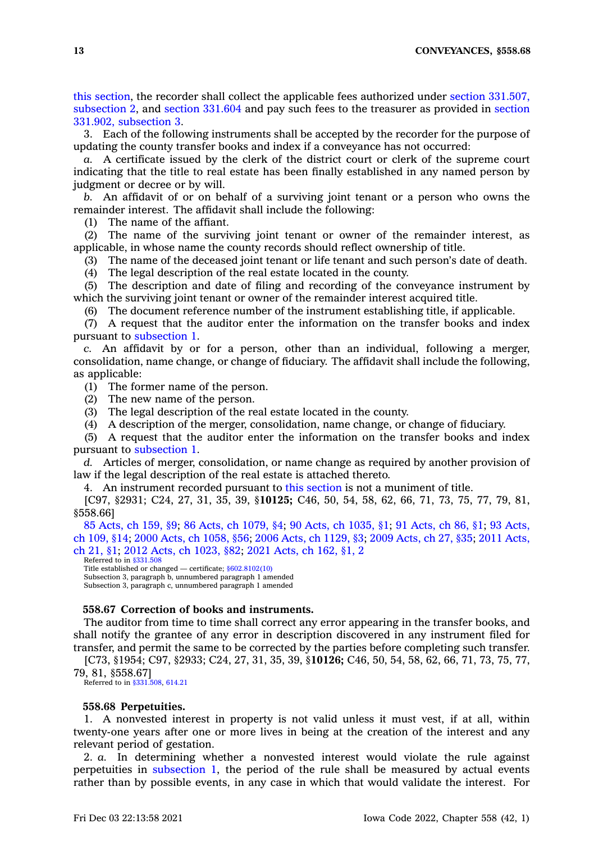this [section](https://www.legis.iowa.gov/docs/code/558.66.pdf), the recorder shall collect the applicable fees authorized under section [331.507,](https://www.legis.iowa.gov/docs/code/331.507.pdf) [subsection](https://www.legis.iowa.gov/docs/code/331.507.pdf) 2, and section [331.604](https://www.legis.iowa.gov/docs/code/331.604.pdf) and pay such fees to the treasurer as provided in [section](https://www.legis.iowa.gov/docs/code/331.902.pdf) 331.902, [subsection](https://www.legis.iowa.gov/docs/code/331.902.pdf) 3.

3. Each of the following instruments shall be accepted by the recorder for the purpose of updating the county transfer books and index if <sup>a</sup> conveyance has not occurred:

*a.* A certificate issued by the clerk of the district court or clerk of the supreme court indicating that the title to real estate has been finally established in any named person by judgment or decree or by will.

*b.* An affidavit of or on behalf of <sup>a</sup> surviving joint tenant or <sup>a</sup> person who owns the remainder interest. The affidavit shall include the following:

(1) The name of the affiant.

(2) The name of the surviving joint tenant or owner of the remainder interest, as applicable, in whose name the county records should reflect ownership of title.

(3) The name of the deceased joint tenant or life tenant and such person's date of death.

(4) The legal description of the real estate located in the county.

(5) The description and date of filing and recording of the conveyance instrument by which the surviving joint tenant or owner of the remainder interest acquired title.

(6) The document reference number of the instrument establishing title, if applicable.

(7) A request that the auditor enter the information on the transfer books and index pursuant to [subsection](https://www.legis.iowa.gov/docs/code/558.66.pdf) 1.

*c.* An affidavit by or for <sup>a</sup> person, other than an individual, following <sup>a</sup> merger, consolidation, name change, or change of fiduciary. The affidavit shall include the following, as applicable:

(1) The former name of the person.

(2) The new name of the person.

(3) The legal description of the real estate located in the county.

(4) A description of the merger, consolidation, name change, or change of fiduciary.

(5) A request that the auditor enter the information on the transfer books and index pursuant to [subsection](https://www.legis.iowa.gov/docs/code/558.66.pdf) 1.

*d.* Articles of merger, consolidation, or name change as required by another provision of law if the legal description of the real estate is attached thereto.

4. An instrument recorded pursuant to this [section](https://www.legis.iowa.gov/docs/code/558.66.pdf) is not <sup>a</sup> muniment of title.

[C97, §2931; C24, 27, 31, 35, 39, §**10125;** C46, 50, 54, 58, 62, 66, 71, 73, 75, 77, 79, 81, §558.66]

85 [Acts,](https://www.legis.iowa.gov/docs/acts/1985/CH0159.pdf) ch 159, §9; 86 Acts, ch [1079,](https://www.legis.iowa.gov/docs/acts/86/CH1079.pdf) §4; 90 Acts, ch [1035,](https://www.legis.iowa.gov/docs/acts/90/CH1035.pdf) §1; 91 [Acts,](https://www.legis.iowa.gov/docs/acts/91/CH0086.pdf) ch 86, §1; 93 [Acts,](https://www.legis.iowa.gov/docs/acts/93/CH0109.pdf) ch [109,](https://www.legis.iowa.gov/docs/acts/93/CH0109.pdf) §14; 2000 Acts, ch [1058,](https://www.legis.iowa.gov/docs/acts/2000/CH1058.pdf) §56; 2006 Acts, ch [1129,](https://www.legis.iowa.gov/docs/acts/2006/CH1129.pdf) §3; 2009 [Acts,](https://www.legis.iowa.gov/docs/acts/2009/CH0027.pdf) ch 27, §35; 2011 [Acts,](https://www.legis.iowa.gov/docs/acts/2011/CH0021.pdf) ch [21,](https://www.legis.iowa.gov/docs/acts/2011/CH0021.pdf) §1; 2012 Acts, ch [1023,](https://www.legis.iowa.gov/docs/acts/2012/CH1023.pdf) §82; 2021 [Acts,](https://www.legis.iowa.gov/docs/acts/2021/CH0162.pdf) ch 162, §1, 2

Referred to in [§331.508](https://www.legis.iowa.gov/docs/code/331.508.pdf) Title established or changed — certificate; [§602.8102\(10\)](https://www.legis.iowa.gov/docs/code/602.8102.pdf) Subsection 3, paragraph b, unnumbered paragraph 1 amended Subsection 3, paragraph c, unnumbered paragraph 1 amended

## **558.67 Correction of books and instruments.**

The auditor from time to time shall correct any error appearing in the transfer books, and shall notify the grantee of any error in description discovered in any instrument filed for transfer, and permit the same to be corrected by the parties before completing such transfer.

[C73, §1954; C97, §2933; C24, 27, 31, 35, 39, §**10126;** C46, 50, 54, 58, 62, 66, 71, 73, 75, 77, 79, 81, §558.67]

Referred to in [§331.508](https://www.legis.iowa.gov/docs/code/331.508.pdf), [614.21](https://www.legis.iowa.gov/docs/code/614.21.pdf)

#### **558.68 Perpetuities.**

1. A nonvested interest in property is not valid unless it must vest, if at all, within twenty-one years after one or more lives in being at the creation of the interest and any relevant period of gestation.

2. *a.* In determining whether <sup>a</sup> nonvested interest would violate the rule against perpetuities in [subsection](https://www.legis.iowa.gov/docs/code/558.68.pdf) 1, the period of the rule shall be measured by actual events rather than by possible events, in any case in which that would validate the interest. For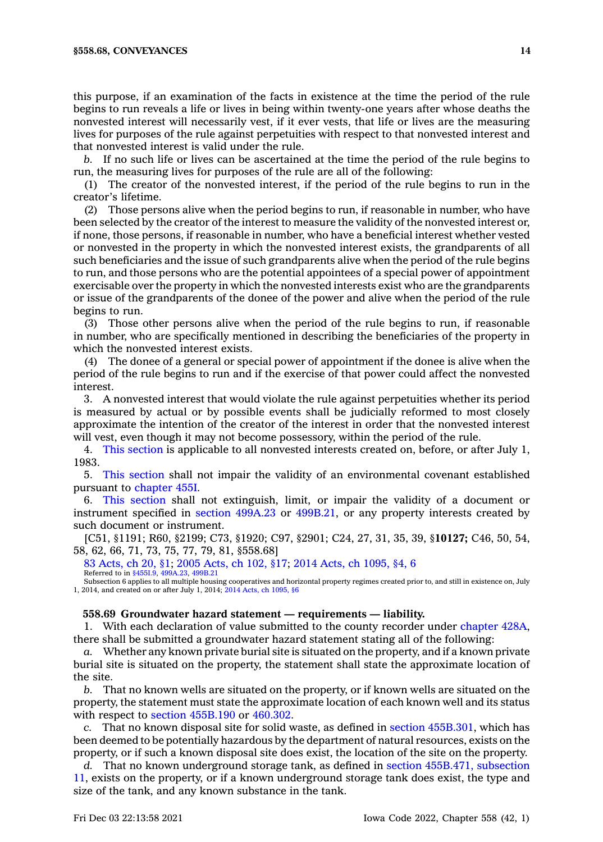this purpose, if an examination of the facts in existence at the time the period of the rule begins to run reveals <sup>a</sup> life or lives in being within twenty-one years after whose deaths the nonvested interest will necessarily vest, if it ever vests, that life or lives are the measuring lives for purposes of the rule against perpetuities with respect to that nonvested interest and that nonvested interest is valid under the rule.

*b.* If no such life or lives can be ascertained at the time the period of the rule begins to run, the measuring lives for purposes of the rule are all of the following:

(1) The creator of the nonvested interest, if the period of the rule begins to run in the creator's lifetime.

(2) Those persons alive when the period begins to run, if reasonable in number, who have been selected by the creator of the interest to measure the validity of the nonvested interest or, if none, those persons, if reasonable in number, who have <sup>a</sup> beneficial interest whether vested or nonvested in the property in which the nonvested interest exists, the grandparents of all such beneficiaries and the issue of such grandparents alive when the period of the rule begins to run, and those persons who are the potential appointees of <sup>a</sup> special power of appointment exercisable over the property in which the nonvested interests exist who are the grandparents or issue of the grandparents of the donee of the power and alive when the period of the rule begins to run.

(3) Those other persons alive when the period of the rule begins to run, if reasonable in number, who are specifically mentioned in describing the beneficiaries of the property in which the nonvested interest exists.

(4) The donee of <sup>a</sup> general or special power of appointment if the donee is alive when the period of the rule begins to run and if the exercise of that power could affect the nonvested interest.

3. A nonvested interest that would violate the rule against perpetuities whether its period is measured by actual or by possible events shall be judicially reformed to most closely approximate the intention of the creator of the interest in order that the nonvested interest will vest, even though it may not become possessory, within the period of the rule.

4. This [section](https://www.legis.iowa.gov/docs/code/558.68.pdf) is applicable to all nonvested interests created on, before, or after July 1, 1983.

5. This [section](https://www.legis.iowa.gov/docs/code/558.68.pdf) shall not impair the validity of an environmental covenant established pursuant to [chapter](https://www.legis.iowa.gov/docs/code//455I.pdf) 455I.

6. This [section](https://www.legis.iowa.gov/docs/code/558.68.pdf) shall not extinguish, limit, or impair the validity of <sup>a</sup> document or instrument specified in section [499A.23](https://www.legis.iowa.gov/docs/code/499A.23.pdf) or [499B.21](https://www.legis.iowa.gov/docs/code/499B.21.pdf), or any property interests created by such document or instrument.

[C51, §1191; R60, §2199; C73, §1920; C97, §2901; C24, 27, 31, 35, 39, §**10127;** C46, 50, 54, 58, 62, 66, 71, 73, 75, 77, 79, 81, §558.68]

83 [Acts,](https://www.legis.iowa.gov/docs/acts/1983/CH0020.pdf) ch 20, §1; 2005 [Acts,](https://www.legis.iowa.gov/docs/acts/2005/CH0102.pdf) ch 102, §17; 2014 Acts, ch [1095,](https://www.legis.iowa.gov/docs/acts/2014/CH1095.pdf) §4, 6 Referred to in [§455I.9](https://www.legis.iowa.gov/docs/code/455I.9.pdf), [499A.23](https://www.legis.iowa.gov/docs/code/499A.23.pdf), [499B.21](https://www.legis.iowa.gov/docs/code/499B.21.pdf)

Subsection 6 applies to all multiple housing cooperatives and horizontal property regimes created prior to, and still in existence on, July 1, 2014, and created on or after July 1, 2014; 2014 Acts, ch [1095,](https://www.legis.iowa.gov/docs/acts/2014/CH1095.pdf) §6

## **558.69 Groundwater hazard statement —requirements — liability.**

1. With each declaration of value submitted to the county recorder under [chapter](https://www.legis.iowa.gov/docs/code//428A.pdf) 428A, there shall be submitted <sup>a</sup> groundwater hazard statement stating all of the following:

*a.* Whether any known private burial site is situated on the property, and if <sup>a</sup> known private burial site is situated on the property, the statement shall state the approximate location of the site.

*b.* That no known wells are situated on the property, or if known wells are situated on the property, the statement must state the approximate location of each known well and its status with respect to section [455B.190](https://www.legis.iowa.gov/docs/code/455B.190.pdf) or [460.302](https://www.legis.iowa.gov/docs/code/460.302.pdf).

*c.* That no known disposal site for solid waste, as defined in section [455B.301](https://www.legis.iowa.gov/docs/code/455B.301.pdf), which has been deemed to be potentially hazardous by the department of natural resources, exists on the property, or if such <sup>a</sup> known disposal site does exist, the location of the site on the property.

*d.* That no known underground storage tank, as defined in section [455B.471,](https://www.legis.iowa.gov/docs/code/455B.471.pdf) subsection [11](https://www.legis.iowa.gov/docs/code/455B.471.pdf), exists on the property, or if <sup>a</sup> known underground storage tank does exist, the type and size of the tank, and any known substance in the tank.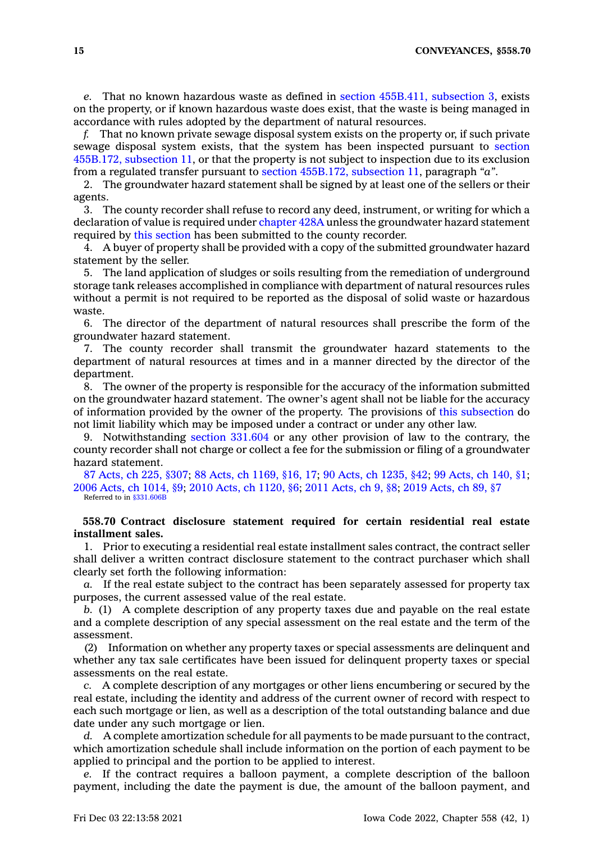*e.* That no known hazardous waste as defined in section [455B.411,](https://www.legis.iowa.gov/docs/code/455B.411.pdf) subsection 3, exists on the property, or if known hazardous waste does exist, that the waste is being managed in accordance with rules adopted by the department of natural resources.

*f.* That no known private sewage disposal system exists on the property or, if such private sewage disposal system exists, that the system has been inspected pursuant to [section](https://www.legis.iowa.gov/docs/code/455B.172.pdf) [455B.172,](https://www.legis.iowa.gov/docs/code/455B.172.pdf) subsection 11, or that the property is not subject to inspection due to its exclusion from <sup>a</sup> regulated transfer pursuant to section [455B.172,](https://www.legis.iowa.gov/docs/code/455B.172.pdf) subsection 11, paragraph *"a"*.

2. The groundwater hazard statement shall be signed by at least one of the sellers or their agents.

3. The county recorder shall refuse to record any deed, instrument, or writing for which <sup>a</sup> declaration of value is required under [chapter](https://www.legis.iowa.gov/docs/code//428A.pdf) 428A unless the groundwater hazard statement required by this [section](https://www.legis.iowa.gov/docs/code/558.69.pdf) has been submitted to the county recorder.

4. A buyer of property shall be provided with <sup>a</sup> copy of the submitted groundwater hazard statement by the seller.

5. The land application of sludges or soils resulting from the remediation of underground storage tank releases accomplished in compliance with department of natural resources rules without <sup>a</sup> permit is not required to be reported as the disposal of solid waste or hazardous waste.

6. The director of the department of natural resources shall prescribe the form of the groundwater hazard statement.

7. The county recorder shall transmit the groundwater hazard statements to the department of natural resources at times and in <sup>a</sup> manner directed by the director of the department.

8. The owner of the property is responsible for the accuracy of the information submitted on the groundwater hazard statement. The owner's agent shall not be liable for the accuracy of information provided by the owner of the property. The provisions of this [subsection](https://www.legis.iowa.gov/docs/code/558.69.pdf) do not limit liability which may be imposed under <sup>a</sup> contract or under any other law.

9. Notwithstanding section [331.604](https://www.legis.iowa.gov/docs/code/331.604.pdf) or any other provision of law to the contrary, the county recorder shall not charge or collect <sup>a</sup> fee for the submission or filing of <sup>a</sup> groundwater hazard statement.

87 [Acts,](https://www.legis.iowa.gov/docs/acts/1987/CH0225.pdf) ch 225, §307; 88 Acts, ch [1169,](https://www.legis.iowa.gov/docs/acts/88/CH1169.pdf) §16, 17; 90 Acts, ch [1235,](https://www.legis.iowa.gov/docs/acts/90/CH1235.pdf) §42; 99 [Acts,](https://www.legis.iowa.gov/docs/acts/99/CH0140.pdf) ch 140, §1; 2006 Acts, ch [1014,](https://www.legis.iowa.gov/docs/acts/2006/CH1014.pdf) §9; 2010 Acts, ch [1120,](https://www.legis.iowa.gov/docs/acts/2010/CH1120.pdf) §6; 2011 [Acts,](https://www.legis.iowa.gov/docs/acts/2011/CH0009.pdf) ch 9, §8; 2019 [Acts,](https://www.legis.iowa.gov/docs/acts/2019/CH0089.pdf) ch 89, §7 Referred to in [§331.606B](https://www.legis.iowa.gov/docs/code/331.606B.pdf)

## **558.70 Contract disclosure statement required for certain residential real estate installment sales.**

1. Prior to executing <sup>a</sup> residential real estate installment sales contract, the contract seller shall deliver <sup>a</sup> written contract disclosure statement to the contract purchaser which shall clearly set forth the following information:

*a.* If the real estate subject to the contract has been separately assessed for property tax purposes, the current assessed value of the real estate.

*b.* (1) A complete description of any property taxes due and payable on the real estate and <sup>a</sup> complete description of any special assessment on the real estate and the term of the assessment.

(2) Information on whether any property taxes or special assessments are delinquent and whether any tax sale certificates have been issued for delinquent property taxes or special assessments on the real estate.

*c.* A complete description of any mortgages or other liens encumbering or secured by the real estate, including the identity and address of the current owner of record with respect to each such mortgage or lien, as well as <sup>a</sup> description of the total outstanding balance and due date under any such mortgage or lien.

*d.* A complete amortization schedule for all payments to be made pursuant to the contract, which amortization schedule shall include information on the portion of each payment to be applied to principal and the portion to be applied to interest.

*e.* If the contract requires <sup>a</sup> balloon payment, <sup>a</sup> complete description of the balloon payment, including the date the payment is due, the amount of the balloon payment, and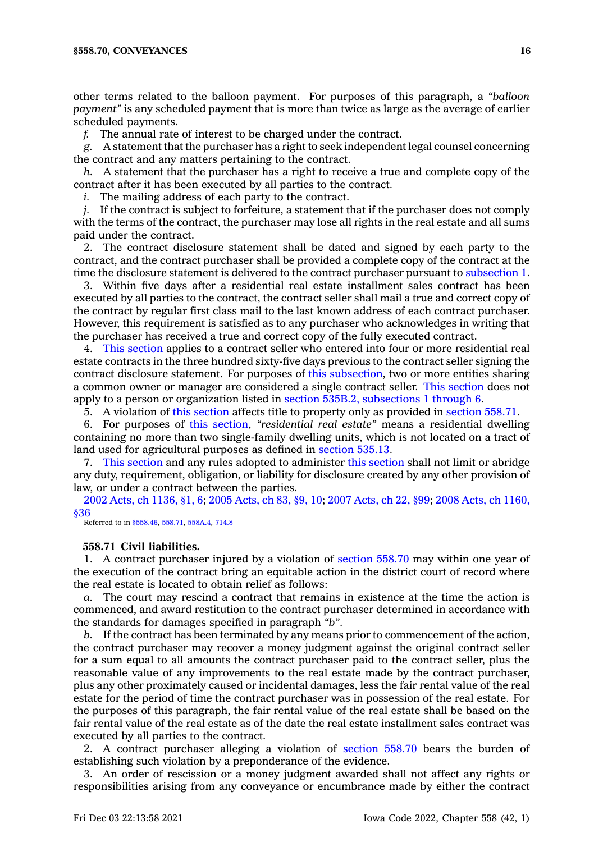other terms related to the balloon payment. For purposes of this paragraph, <sup>a</sup> *"balloon payment"* is any scheduled payment that is more than twice as large as the average of earlier scheduled payments.

*f.* The annual rate of interest to be charged under the contract.

*g.* A statement that the purchaser has <sup>a</sup> right to seek independent legal counsel concerning the contract and any matters pertaining to the contract.

*h.* A statement that the purchaser has <sup>a</sup> right to receive <sup>a</sup> true and complete copy of the contract after it has been executed by all parties to the contract.

*i.* The mailing address of each party to the contract.

*j.* If the contract is subject to forfeiture, <sup>a</sup> statement that if the purchaser does not comply with the terms of the contract, the purchaser may lose all rights in the real estate and all sums paid under the contract.

2. The contract disclosure statement shall be dated and signed by each party to the contract, and the contract purchaser shall be provided <sup>a</sup> complete copy of the contract at the time the disclosure statement is delivered to the contract purchaser pursuant to [subsection](https://www.legis.iowa.gov/docs/code/558.70.pdf) 1.

3. Within five days after <sup>a</sup> residential real estate installment sales contract has been executed by all parties to the contract, the contract seller shall mail <sup>a</sup> true and correct copy of the contract by regular first class mail to the last known address of each contract purchaser. However, this requirement is satisfied as to any purchaser who acknowledges in writing that the purchaser has received <sup>a</sup> true and correct copy of the fully executed contract.

4. This [section](https://www.legis.iowa.gov/docs/code/558.70.pdf) applies to <sup>a</sup> contract seller who entered into four or more residential real estate contracts in the three hundred sixty-five days previous to the contract seller signing the contract disclosure statement. For purposes of this [subsection](https://www.legis.iowa.gov/docs/code/558.70.pdf), two or more entities sharing <sup>a</sup> common owner or manager are considered <sup>a</sup> single contract seller. This [section](https://www.legis.iowa.gov/docs/code/558.70.pdf) does not apply to <sup>a</sup> person or organization listed in section 535B.2, [subsections](https://www.legis.iowa.gov/docs/code/535B.2.pdf) 1 through 6.

5. A violation of this [section](https://www.legis.iowa.gov/docs/code/558.70.pdf) affects title to property only as provided in [section](https://www.legis.iowa.gov/docs/code/558.71.pdf) 558.71.

6. For purposes of this [section](https://www.legis.iowa.gov/docs/code/558.70.pdf), *"residential real estate"* means <sup>a</sup> residential dwelling containing no more than two single-family dwelling units, which is not located on <sup>a</sup> tract of land used for agricultural purposes as defined in [section](https://www.legis.iowa.gov/docs/code/535.13.pdf) 535.13.

7. This [section](https://www.legis.iowa.gov/docs/code/558.70.pdf) and any rules adopted to administer this [section](https://www.legis.iowa.gov/docs/code/558.70.pdf) shall not limit or abridge any duty, requirement, obligation, or liability for disclosure created by any other provision of law, or under <sup>a</sup> contract between the parties.

2002 Acts, ch [1136,](https://www.legis.iowa.gov/docs/acts/2002/CH1136.pdf) §1, 6; 2005 [Acts,](https://www.legis.iowa.gov/docs/acts/2005/CH0083.pdf) ch 83, §9, 10; 2007 [Acts,](https://www.legis.iowa.gov/docs/acts/2007/CH0022.pdf) ch 22, §99; 2008 Acts, ch [1160,](https://www.legis.iowa.gov/docs/acts/2008/CH1160.pdf) [§36](https://www.legis.iowa.gov/docs/acts/2008/CH1160.pdf)

Referred to in [§558.46,](https://www.legis.iowa.gov/docs/code/558.46.pdf) [558.71](https://www.legis.iowa.gov/docs/code/558.71.pdf), [558A.4](https://www.legis.iowa.gov/docs/code/558A.4.pdf), [714.8](https://www.legis.iowa.gov/docs/code/714.8.pdf)

## **558.71 Civil liabilities.**

1. A contract purchaser injured by <sup>a</sup> violation of [section](https://www.legis.iowa.gov/docs/code/558.70.pdf) 558.70 may within one year of the execution of the contract bring an equitable action in the district court of record where the real estate is located to obtain relief as follows:

*a.* The court may rescind <sup>a</sup> contract that remains in existence at the time the action is commenced, and award restitution to the contract purchaser determined in accordance with the standards for damages specified in paragraph *"b"*.

*b.* If the contract has been terminated by any means prior to commencement of the action, the contract purchaser may recover <sup>a</sup> money judgment against the original contract seller for <sup>a</sup> sum equal to all amounts the contract purchaser paid to the contract seller, plus the reasonable value of any improvements to the real estate made by the contract purchaser, plus any other proximately caused or incidental damages, less the fair rental value of the real estate for the period of time the contract purchaser was in possession of the real estate. For the purposes of this paragraph, the fair rental value of the real estate shall be based on the fair rental value of the real estate as of the date the real estate installment sales contract was executed by all parties to the contract.

2. A contract purchaser alleging <sup>a</sup> violation of [section](https://www.legis.iowa.gov/docs/code/558.70.pdf) 558.70 bears the burden of establishing such violation by <sup>a</sup> preponderance of the evidence.

3. An order of rescission or <sup>a</sup> money judgment awarded shall not affect any rights or responsibilities arising from any conveyance or encumbrance made by either the contract